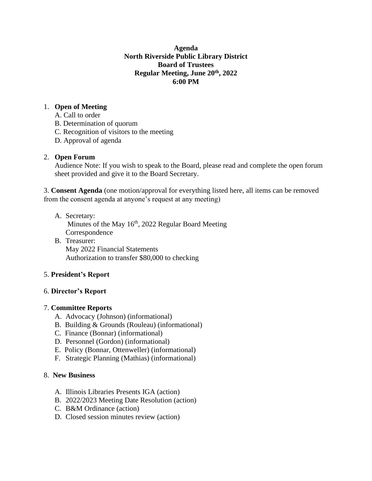## **Agenda North Riverside Public Library District Board of Trustees Regular Meeting, June 20th, 2022 6:00 PM**

## 1. **Open of Meeting**

- A. Call to order
- B. Determination of quorum
- C. Recognition of visitors to the meeting
- D. Approval of agenda

## 2. **Open Forum**

Audience Note: If you wish to speak to the Board, please read and complete the open forum sheet provided and give it to the Board Secretary.

3. **Consent Agenda** (one motion/approval for everything listed here, all items can be removed from the consent agenda at anyone's request at any meeting)

A. Secretary:

Minutes of the May 16<sup>th</sup>, 2022 Regular Board Meeting Correspondence

B. Treasurer: May 2022 Financial Statements Authorization to transfer \$80,000 to checking

# 5. **President's Report**

## 6. **Director's Report**

# 7. **Committee Reports**

- A. Advocacy (Johnson) (informational)
- B. Building & Grounds (Rouleau) (informational)
- C. Finance (Bonnar) (informational)
- D. Personnel (Gordon) (informational)
- E. Policy (Bonnar, Ottenweller) (informational)
- F. Strategic Planning (Mathias) (informational)

## 8. **New Business**

- A. Illinois Libraries Presents IGA (action)
- B. 2022/2023 Meeting Date Resolution (action)
- C. B&M Ordinance (action)
- D. Closed session minutes review (action)